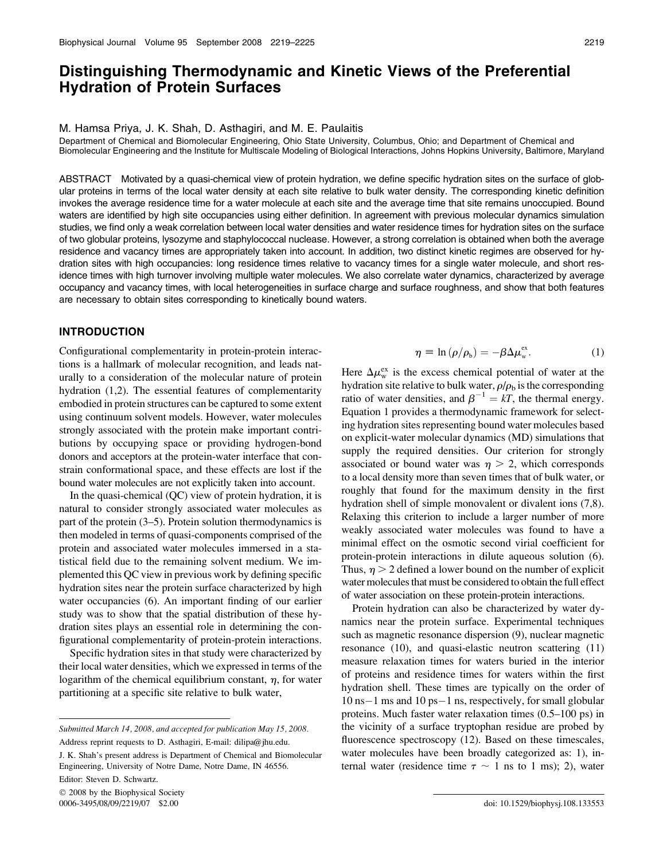# Distinguishing Thermodynamic and Kinetic Views of the Preferential Hydration of Protein Surfaces

M. Hamsa Priya, J. K. Shah, D. Asthagiri, and M. E. Paulaitis

Department of Chemical and Biomolecular Engineering, Ohio State University, Columbus, Ohio; and Department of Chemical and Biomolecular Engineering and the Institute for Multiscale Modeling of Biological Interactions, Johns Hopkins University, Baltimore, Maryland

ABSTRACT Motivated by a quasi-chemical view of protein hydration, we define specific hydration sites on the surface of globular proteins in terms of the local water density at each site relative to bulk water density. The corresponding kinetic definition invokes the average residence time for a water molecule at each site and the average time that site remains unoccupied. Bound waters are identified by high site occupancies using either definition. In agreement with previous molecular dynamics simulation studies, we find only a weak correlation between local water densities and water residence times for hydration sites on the surface of two globular proteins, lysozyme and staphylococcal nuclease. However, a strong correlation is obtained when both the average residence and vacancy times are appropriately taken into account. In addition, two distinct kinetic regimes are observed for hydration sites with high occupancies: long residence times relative to vacancy times for a single water molecule, and short residence times with high turnover involving multiple water molecules. We also correlate water dynamics, characterized by average occupancy and vacancy times, with local heterogeneities in surface charge and surface roughness, and show that both features are necessary to obtain sites corresponding to kinetically bound waters.

## INTRODUCTION

Configurational complementarity in protein-protein interactions is a hallmark of molecular recognition, and leads naturally to a consideration of the molecular nature of protein hydration (1,2). The essential features of complementarity embodied in protein structures can be captured to some extent using continuum solvent models. However, water molecules strongly associated with the protein make important contributions by occupying space or providing hydrogen-bond donors and acceptors at the protein-water interface that constrain conformational space, and these effects are lost if the bound water molecules are not explicitly taken into account.

In the quasi-chemical (QC) view of protein hydration, it is natural to consider strongly associated water molecules as part of the protein (3–5). Protein solution thermodynamics is then modeled in terms of quasi-components comprised of the protein and associated water molecules immersed in a statistical field due to the remaining solvent medium. We implemented this QC view in previous work by defining specific hydration sites near the protein surface characterized by high water occupancies (6). An important finding of our earlier study was to show that the spatial distribution of these hydration sites plays an essential role in determining the configurational complementarity of protein-protein interactions.

Specific hydration sites in that study were characterized by their local water densities, which we expressed in terms of the logarithm of the chemical equilibrium constant,  $\eta$ , for water partitioning at a specific site relative to bulk water,

J. K. Shah's present address is Department of Chemical and Biomolecular Engineering, University of Notre Dame, Notre Dame, IN 46556.

 $© 2008$  by the Biophysical Society 0006-3495/08/09/2219/07 \$2.00

$$
\eta = \ln \left( \rho / \rho_{\rm b} \right) = -\beta \Delta \mu_{\rm w}^{\rm ex} . \tag{1}
$$

Here  $\Delta \mu_w^{\text{ex}}$  is the excess chemical potential of water at the hydration site relative to bulk water,  $\rho/\rho_{\rm b}$  is the corresponding ratio of water densities, and  $\beta^{-1} = kT$ , the thermal energy. Equation 1 provides a thermodynamic framework for selecting hydration sites representing bound water molecules based on explicit-water molecular dynamics (MD) simulations that supply the required densities. Our criterion for strongly associated or bound water was  $n > 2$ , which corresponds to a local density more than seven times that of bulk water, or roughly that found for the maximum density in the first hydration shell of simple monovalent or divalent ions (7,8). Relaxing this criterion to include a larger number of more weakly associated water molecules was found to have a minimal effect on the osmotic second virial coefficient for protein-protein interactions in dilute aqueous solution (6). Thus,  $n > 2$  defined a lower bound on the number of explicit water molecules that must be considered to obtain the full effect of water association on these protein-protein interactions.

Protein hydration can also be characterized by water dynamics near the protein surface. Experimental techniques such as magnetic resonance dispersion (9), nuclear magnetic resonance (10), and quasi-elastic neutron scattering (11) measure relaxation times for waters buried in the interior of proteins and residence times for waters within the first hydration shell. These times are typically on the order of 10 ns-1 ms and 10 ps-1 ns, respectively, for small globular proteins. Much faster water relaxation times (0.5–100 ps) in the vicinity of a surface tryptophan residue are probed by fluorescence spectroscopy (12). Based on these timescales, water molecules have been broadly categorized as: 1), internal water (residence time  $\tau \sim 1$  ns to 1 ms); 2), water

Submitted March 14, 2008, and accepted for publication May 15, 2008. Address reprint requests to D. Asthagiri, E-mail: dilipa@jhu.edu.

Editor: Steven D. Schwartz.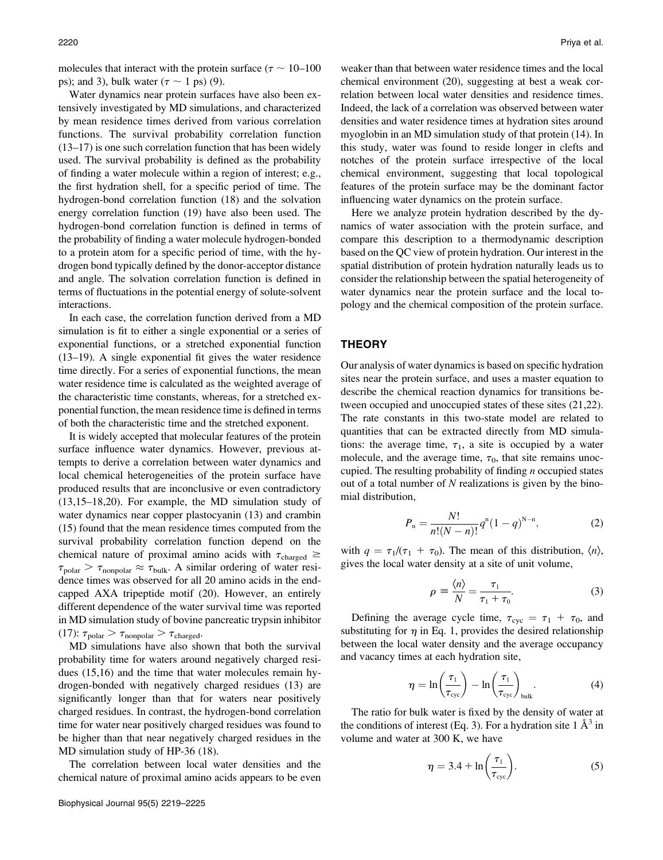molecules that interact with the protein surface ( $\tau \sim 10{\text -}100$ ps); and 3), bulk water  $(\tau \sim 1 \text{ ps})$  (9).

Water dynamics near protein surfaces have also been extensively investigated by MD simulations, and characterized by mean residence times derived from various correlation functions. The survival probability correlation function (13–17) is one such correlation function that has been widely used. The survival probability is defined as the probability of finding a water molecule within a region of interest; e.g., the first hydration shell, for a specific period of time. The hydrogen-bond correlation function (18) and the solvation energy correlation function (19) have also been used. The hydrogen-bond correlation function is defined in terms of the probability of finding a water molecule hydrogen-bonded to a protein atom for a specific period of time, with the hydrogen bond typically defined by the donor-acceptor distance and angle. The solvation correlation function is defined in terms of fluctuations in the potential energy of solute-solvent interactions.

In each case, the correlation function derived from a MD simulation is fit to either a single exponential or a series of exponential functions, or a stretched exponential function (13–19). A single exponential fit gives the water residence time directly. For a series of exponential functions, the mean water residence time is calculated as the weighted average of the characteristic time constants, whereas, for a stretched exponential function, the mean residence time is defined in terms of both the characteristic time and the stretched exponent.

It is widely accepted that molecular features of the protein surface influence water dynamics. However, previous attempts to derive a correlation between water dynamics and local chemical heterogeneities of the protein surface have produced results that are inconclusive or even contradictory (13,15–18,20). For example, the MD simulation study of water dynamics near copper plastocyanin (13) and crambin (15) found that the mean residence times computed from the survival probability correlation function depend on the chemical nature of proximal amino acids with  $\tau_{charged} \ge$  $\tau_{\text{polar}} > \tau_{\text{nonpolar}} \approx \tau_{\text{bulk}}$ . A similar ordering of water residence times was observed for all 20 amino acids in the endcapped AXA tripeptide motif (20). However, an entirely different dependence of the water survival time was reported in MD simulation study of bovine pancreatic trypsin inhibitor (17):  $\tau_{\text{polar}} > \tau_{\text{nonpolar}} > \tau_{\text{charged}}$ .

MD simulations have also shown that both the survival probability time for waters around negatively charged residues (15,16) and the time that water molecules remain hydrogen-bonded with negatively charged residues (13) are significantly longer than that for waters near positively charged residues. In contrast, the hydrogen-bond correlation time for water near positively charged residues was found to be higher than that near negatively charged residues in the MD simulation study of HP-36 (18).

The correlation between local water densities and the chemical nature of proximal amino acids appears to be even weaker than that between water residence times and the local chemical environment (20), suggesting at best a weak correlation between local water densities and residence times. Indeed, the lack of a correlation was observed between water densities and water residence times at hydration sites around myoglobin in an MD simulation study of that protein (14). In this study, water was found to reside longer in clefts and notches of the protein surface irrespective of the local chemical environment, suggesting that local topological features of the protein surface may be the dominant factor influencing water dynamics on the protein surface.

Here we analyze protein hydration described by the dynamics of water association with the protein surface, and compare this description to a thermodynamic description based on the QC view of protein hydration. Our interest in the spatial distribution of protein hydration naturally leads us to consider the relationship between the spatial heterogeneity of water dynamics near the protein surface and the local topology and the chemical composition of the protein surface.

#### **THEORY**

Our analysis of water dynamics is based on specific hydration sites near the protein surface, and uses a master equation to describe the chemical reaction dynamics for transitions between occupied and unoccupied states of these sites (21,22). The rate constants in this two-state model are related to quantities that can be extracted directly from MD simulations: the average time,  $\tau_1$ , a site is occupied by a water molecule, and the average time,  $\tau_0$ , that site remains unoccupied. The resulting probability of finding  $n$  occupied states out of a total number of  $N$  realizations is given by the binomial distribution,

$$
P_n = \frac{N!}{n!(N-n)!} q^n (1-q)^{N-n},
$$
 (2)

with  $q = \tau_1/(\tau_1 + \tau_0)$ . The mean of this distribution,  $\langle n \rangle$ , gives the local water density at a site of unit volume,

$$
\rho \equiv \frac{\langle n \rangle}{N} = \frac{\tau_1}{\tau_1 + \tau_0}.\tag{3}
$$

Defining the average cycle time,  $\tau_{\text{cyc}} = \tau_1 + \tau_0$ , and substituting for  $\eta$  in Eq. 1, provides the desired relationship between the local water density and the average occupancy and vacancy times at each hydration site,

$$
\eta = \ln\left(\frac{\tau_1}{\tau_{\text{cyc}}}\right) - \ln\left(\frac{\tau_1}{\tau_{\text{cyc}}}\right)_{\text{bulk}}.\tag{4}
$$

The ratio for bulk water is fixed by the density of water at the conditions of interest (Eq. 3). For a hydration site 1  $\AA^3$  in volume and water at 300 K, we have

$$
\eta = 3.4 + \ln\left(\frac{\tau_1}{\tau_{\text{cyc}}}\right). \tag{5}
$$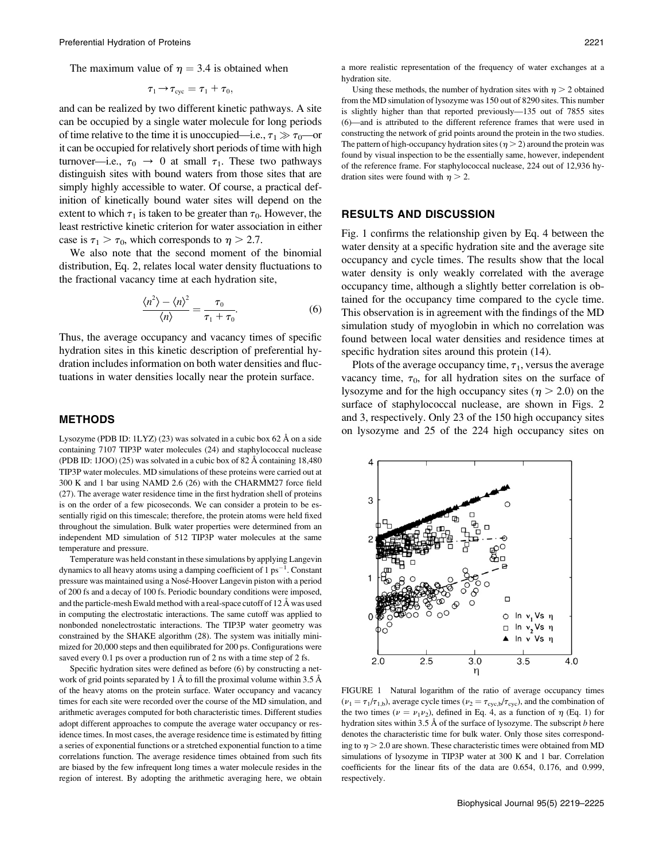The maximum value of  $n = 3.4$  is obtained when

$$
\tau_1 \rightarrow \tau_{\rm cyc} = \tau_1 + \tau_0,
$$

and can be realized by two different kinetic pathways. A site can be occupied by a single water molecule for long periods of time relative to the time it is unoccupied—i.e.,  $\tau_1 \gg \tau_0$ —or it can be occupied for relatively short periods of time with high turnover—i.e.,  $\tau_0 \rightarrow 0$  at small  $\tau_1$ . These two pathways distinguish sites with bound waters from those sites that are simply highly accessible to water. Of course, a practical definition of kinetically bound water sites will depend on the extent to which  $\tau_1$  is taken to be greater than  $\tau_0$ . However, the least restrictive kinetic criterion for water association in either case is  $\tau_1 > \tau_0$ , which corresponds to  $\eta > 2.7$ .

We also note that the second moment of the binomial distribution, Eq. 2, relates local water density fluctuations to the fractional vacancy time at each hydration site,

$$
\frac{\langle n^2 \rangle - \langle n \rangle^2}{\langle n \rangle} = \frac{\tau_0}{\tau_1 + \tau_0}.
$$
 (6)

Thus, the average occupancy and vacancy times of specific hydration sites in this kinetic description of preferential hydration includes information on both water densities and fluctuations in water densities locally near the protein surface.

## METHODS

Lysozyme (PDB ID: 1LYZ) (23) was solvated in a cubic box 62  $\AA$  on a side containing 7107 TIP3P water molecules (24) and staphylococcal nuclease (PDB ID: 1JOO) (25) was solvated in a cubic box of 82 Å containing  $18,480$ TIP3P water molecules. MD simulations of these proteins were carried out at 300 K and 1 bar using NAMD 2.6 (26) with the CHARMM27 force field (27). The average water residence time in the first hydration shell of proteins is on the order of a few picoseconds. We can consider a protein to be essentially rigid on this timescale; therefore, the protein atoms were held fixed throughout the simulation. Bulk water properties were determined from an independent MD simulation of 512 TIP3P water molecules at the same temperature and pressure.

Temperature was held constant in these simulations by applying Langevin dynamics to all heavy atoms using a damping coefficient of  $1 \text{ ps}^{-1}$ . Constant pressure was maintained using a Nosé-Hoover Langevin piston with a period of 200 fs and a decay of 100 fs. Periodic boundary conditions were imposed, and the particle-mesh Ewald method with a real-space cutoff of 12 Å was used in computing the electrostatic interactions. The same cutoff was applied to nonbonded nonelectrostatic interactions. The TIP3P water geometry was constrained by the SHAKE algorithm (28). The system was initially minimized for 20,000 steps and then equilibrated for 200 ps. Configurations were saved every 0.1 ps over a production run of 2 ns with a time step of 2 fs.

Specific hydration sites were defined as before (6) by constructing a network of grid points separated by 1 Å to fill the proximal volume within 3.5 Å of the heavy atoms on the protein surface. Water occupancy and vacancy times for each site were recorded over the course of the MD simulation, and arithmetic averages computed for both characteristic times. Different studies adopt different approaches to compute the average water occupancy or residence times. In most cases, the average residence time is estimated by fitting a series of exponential functions or a stretched exponential function to a time correlations function. The average residence times obtained from such fits are biased by the few infrequent long times a water molecule resides in the region of interest. By adopting the arithmetic averaging here, we obtain

a more realistic representation of the frequency of water exchanges at a hydration site.

Using these methods, the number of hydration sites with  $\eta > 2$  obtained from the MD simulation of lysozyme was 150 out of 8290 sites. This number is slightly higher than that reported previously—135 out of 7855 sites (6)—and is attributed to the different reference frames that were used in constructing the network of grid points around the protein in the two studies. The pattern of high-occupancy hydration sites ( $\eta$  > 2) around the protein was found by visual inspection to be the essentially same, however, independent of the reference frame. For staphylococcal nuclease, 224 out of 12,936 hydration sites were found with  $\eta > 2$ .

## RESULTS AND DISCUSSION

Fig. 1 confirms the relationship given by Eq. 4 between the water density at a specific hydration site and the average site occupancy and cycle times. The results show that the local water density is only weakly correlated with the average occupancy time, although a slightly better correlation is obtained for the occupancy time compared to the cycle time. This observation is in agreement with the findings of the MD simulation study of myoglobin in which no correlation was found between local water densities and residence times at specific hydration sites around this protein  $(14)$ .

Plots of the average occupancy time,  $\tau_1$ , versus the average vacancy time,  $\tau_0$ , for all hydration sites on the surface of lysozyme and for the high occupancy sites ( $\eta$  > 2.0) on the surface of staphylococcal nuclease, are shown in Figs. 2 and 3, respectively. Only 23 of the 150 high occupancy sites on lysozyme and 25 of the 224 high occupancy sites on



FIGURE 1 Natural logarithm of the ratio of average occupancy times  $(\nu_1 = \tau_1/\tau_{1,b})$ , average cycle times  $(\nu_2 = \tau_{\text{cyc},b}/\tau_{\text{cyc}})$ , and the combination of the two times ( $\nu = \nu_1 \nu_2$ ), defined in Eq. 4, as a function of  $\eta$  (Eq. 1) for hydration sites within 3.5 Å of the surface of lysozyme. The subscript  $b$  here denotes the characteristic time for bulk water. Only those sites corresponding to  $\eta > 2.0$  are shown. These characteristic times were obtained from MD simulations of lysozyme in TIP3P water at 300 K and 1 bar. Correlation coefficients for the linear fits of the data are 0.654, 0.176, and 0.999, respectively.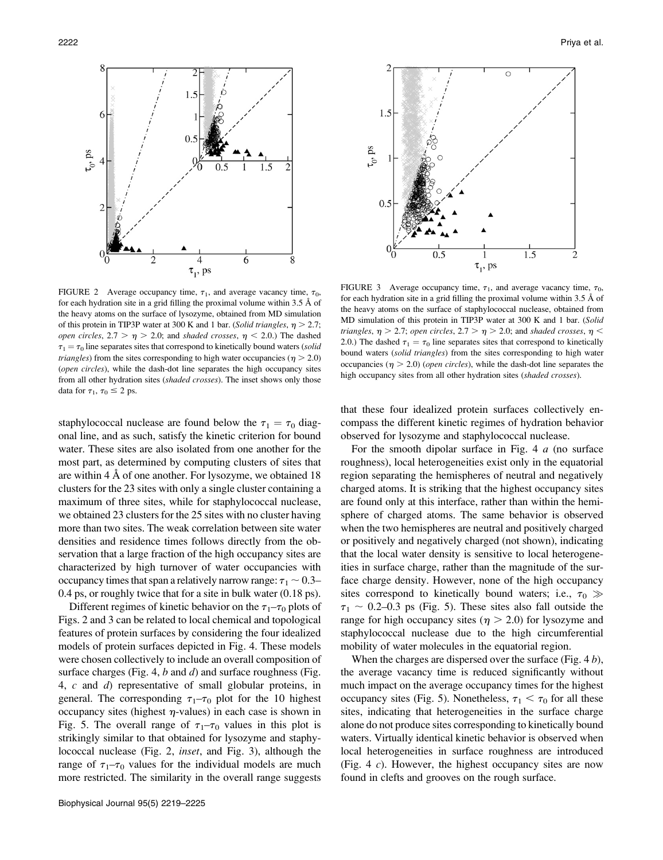

FIGURE 2 Average occupancy time,  $\tau_1$ , and average vacancy time,  $\tau_0$ , for each hydration site in a grid filling the proximal volume within  $3.5 \text{ Å}$  of the heavy atoms on the surface of lysozyme, obtained from MD simulation of this protein in TIP3P water at 300 K and 1 bar. (Solid triangles,  $\eta$  > 2.7; open circles,  $2.7 > \eta > 2.0$ ; and shaded crosses,  $\eta$  < 2.0.) The dashed  $\tau_1 = \tau_0$  line separates sites that correspond to kinetically bound waters (solid *triangles*) from the sites corresponding to high water occupancies ( $\eta$  > 2.0) (open circles), while the dash-dot line separates the high occupancy sites from all other hydration sites (shaded crosses). The inset shows only those data for  $\tau_1$ ,  $\tau_0 \leq 2$  ps.

staphylococcal nuclease are found below the  $\tau_1 = \tau_0$  diagonal line, and as such, satisfy the kinetic criterion for bound water. These sites are also isolated from one another for the most part, as determined by computing clusters of sites that are within  $4 \text{ Å}$  of one another. For lysozyme, we obtained 18 clusters for the 23 sites with only a single cluster containing a maximum of three sites, while for staphylococcal nuclease, we obtained 23 clusters for the 25 sites with no cluster having more than two sites. The weak correlation between site water densities and residence times follows directly from the observation that a large fraction of the high occupancy sites are characterized by high turnover of water occupancies with occupancy times that span a relatively narrow range:  $\tau_1 \sim 0.3-$ 0.4 ps, or roughly twice that for a site in bulk water (0.18 ps).

Different regimes of kinetic behavior on the  $\tau_1-\tau_0$  plots of Figs. 2 and 3 can be related to local chemical and topological features of protein surfaces by considering the four idealized models of protein surfaces depicted in Fig. 4. These models were chosen collectively to include an overall composition of surface charges (Fig. 4,  $b$  and  $d$ ) and surface roughness (Fig. 4, c and d) representative of small globular proteins, in general. The corresponding  $\tau_1-\tau_0$  plot for the 10 highest occupancy sites (highest  $\eta$ -values) in each case is shown in Fig. 5. The overall range of  $\tau_1-\tau_0$  values in this plot is strikingly similar to that obtained for lysozyme and staphylococcal nuclease (Fig. 2, inset, and Fig. 3), although the range of  $\tau_1-\tau_0$  values for the individual models are much more restricted. The similarity in the overall range suggests



FIGURE 3 Average occupancy time,  $\tau_1$ , and average vacancy time,  $\tau_0$ , for each hydration site in a grid filling the proximal volume within  $3.5 \text{ Å}$  of the heavy atoms on the surface of staphylococcal nuclease, obtained from MD simulation of this protein in TIP3P water at 300 K and 1 bar. (Solid triangles,  $\eta$  > 2.7; open circles, 2.7 >  $\eta$  > 2.0; and shaded crosses,  $\eta$  < 2.0.) The dashed  $\tau_1 = \tau_0$  line separates sites that correspond to kinetically bound waters (solid triangles) from the sites corresponding to high water occupancies ( $\eta > 2.0$ ) (*open circles*), while the dash-dot line separates the high occupancy sites from all other hydration sites (shaded crosses).

that these four idealized protein surfaces collectively encompass the different kinetic regimes of hydration behavior observed for lysozyme and staphylococcal nuclease.

For the smooth dipolar surface in Fig. 4  $\alpha$  (no surface roughness), local heterogeneities exist only in the equatorial region separating the hemispheres of neutral and negatively charged atoms. It is striking that the highest occupancy sites are found only at this interface, rather than within the hemisphere of charged atoms. The same behavior is observed when the two hemispheres are neutral and positively charged or positively and negatively charged (not shown), indicating that the local water density is sensitive to local heterogeneities in surface charge, rather than the magnitude of the surface charge density. However, none of the high occupancy sites correspond to kinetically bound waters; i.e.,  $\tau_0 \gg$  $\tau_1 \sim 0.2{\text -}0.3$  ps (Fig. 5). These sites also fall outside the range for high occupancy sites ( $\eta$  > 2.0) for lysozyme and staphylococcal nuclease due to the high circumferential mobility of water molecules in the equatorial region.

When the charges are dispersed over the surface (Fig. 4 b), the average vacancy time is reduced significantly without much impact on the average occupancy times for the highest occupancy sites (Fig. 5). Nonetheless,  $\tau_1 < \tau_0$  for all these sites, indicating that heterogeneities in the surface charge alone do not produce sites corresponding to kinetically bound waters. Virtually identical kinetic behavior is observed when local heterogeneities in surface roughness are introduced (Fig. 4  $c$ ). However, the highest occupancy sites are now found in clefts and grooves on the rough surface.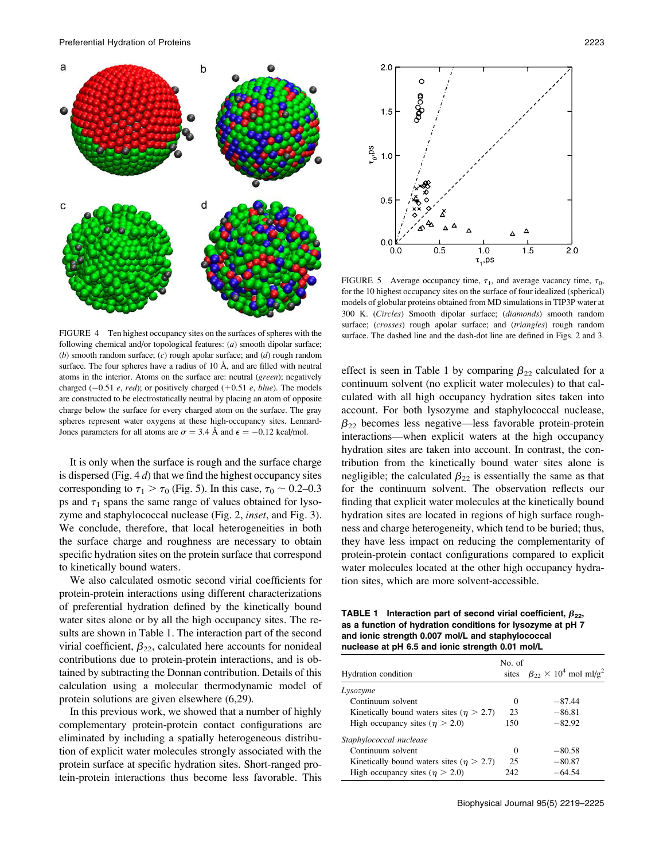Preferential Hydration of Proteins 2223





FIGURE 5 Average occupancy time,  $\tau_1$ , and average vacancy time,  $\tau_0$ , for the 10 highest occupancy sites on the surface of four idealized (spherical) models of globular proteins obtained from MD simulations in TIP3P water at 300 K. (Circles) Smooth dipolar surface; (diamonds) smooth random surface; (crosses) rough apolar surface; and (triangles) rough random

FIGURE 4 Ten highest occupancy sites on the surfaces of spheres with the surface. The dashed line and the dash-dot line are defined in Figs. 2 and 3. following chemical and/or topological features: (a) smooth dipolar surface; (b) smooth random surface; (c) rough apolar surface; and  $(d)$  rough random surface. The four spheres have a radius of  $10 \text{ Å}$ , and are filled with neutral atoms in the interior. Atoms on the surface are: neutral (green); negatively charged  $(-0.51 e, red)$ ; or positively charged  $(+0.51 e, blue)$ . The models are constructed to be electrostatically neutral by placing an atom of opposite charge below the surface for every charged atom on the surface. The gray spheres represent water oxygens at these high-occupancy sites. Lennard-Jones parameters for all atoms are  $\sigma = 3.4 \text{ Å}$  and  $\epsilon = -0.12 \text{ kcal/mol}$ .

It is only when the surface is rough and the surface charge is dispersed (Fig.  $4 d$ ) that we find the highest occupancy sites corresponding to  $\tau_1 > \tau_0$  (Fig. 5). In this case,  $\tau_0 \sim 0.2{\text -}0.3$ ps and  $\tau_1$  spans the same range of values obtained for lysozyme and staphylococcal nuclease (Fig. 2, *inset*, and Fig. 3). We conclude, therefore, that local heterogeneities in both the surface charge and roughness are necessary to obtain specific hydration sites on the protein surface that correspond to kinetically bound waters.

We also calculated osmotic second virial coefficients for protein-protein interactions using different characterizations of preferential hydration defined by the kinetically bound water sites alone or by all the high occupancy sites. The results are shown in Table 1. The interaction part of the second virial coefficient,  $\beta_{22}$ , calculated here accounts for nonideal contributions due to protein-protein interactions, and is obtained by subtracting the Donnan contribution. Details of this calculation using a molecular thermodynamic model of protein solutions are given elsewhere (6,29).

In this previous work, we showed that a number of highly complementary protein-protein contact configurations are eliminated by including a spatially heterogeneous distribution of explicit water molecules strongly associated with the protein surface at specific hydration sites. Short-ranged protein-protein interactions thus become less favorable. This effect is seen in Table 1 by comparing  $\beta_{22}$  calculated for a continuum solvent (no explicit water molecules) to that calculated with all high occupancy hydration sites taken into account. For both lysozyme and staphylococcal nuclease,  $\beta_{22}$  becomes less negative—less favorable protein-protein interactions—when explicit waters at the high occupancy hydration sites are taken into account. In contrast, the contribution from the kinetically bound water sites alone is negligible; the calculated  $\beta_{22}$  is essentially the same as that for the continuum solvent. The observation reflects our finding that explicit water molecules at the kinetically bound hydration sites are located in regions of high surface roughness and charge heterogeneity, which tend to be buried; thus, they have less impact on reducing the complementarity of protein-protein contact configurations compared to explicit water molecules located at the other high occupancy hydration sites, which are more solvent-accessible.

TABLE 1 Interaction part of second virial coefficient,  $\beta_{22}$ , as a function of hydration conditions for lysozyme at pH 7 and ionic strength 0.007 mol/L and staphylococcal nuclease at pH 6.5 and ionic strength 0.01 mol/L

|                                                 | No. of   |                                                |
|-------------------------------------------------|----------|------------------------------------------------|
| <b>Hydration</b> condition                      | sites    | $\beta_{22} \times 10^4$ mol ml/g <sup>2</sup> |
| Lysozyme                                        |          |                                                |
| Continuum solvent                               | 0        | $-87.44$                                       |
| Kinetically bound waters sites ( $\eta > 2.7$ ) | 23       | $-86.81$                                       |
| High occupancy sites ( $\eta > 2.0$ )           | 150      | $-82.92$                                       |
| Staphylococcal nuclease                         |          |                                                |
| Continuum solvent                               | $\Omega$ | $-80.58$                                       |
| Kinetically bound waters sites ( $\eta > 2.7$ ) | 25       | $-80.87$                                       |
| High occupancy sites ( $\eta > 2.0$ )           | 242      | $-64.54$                                       |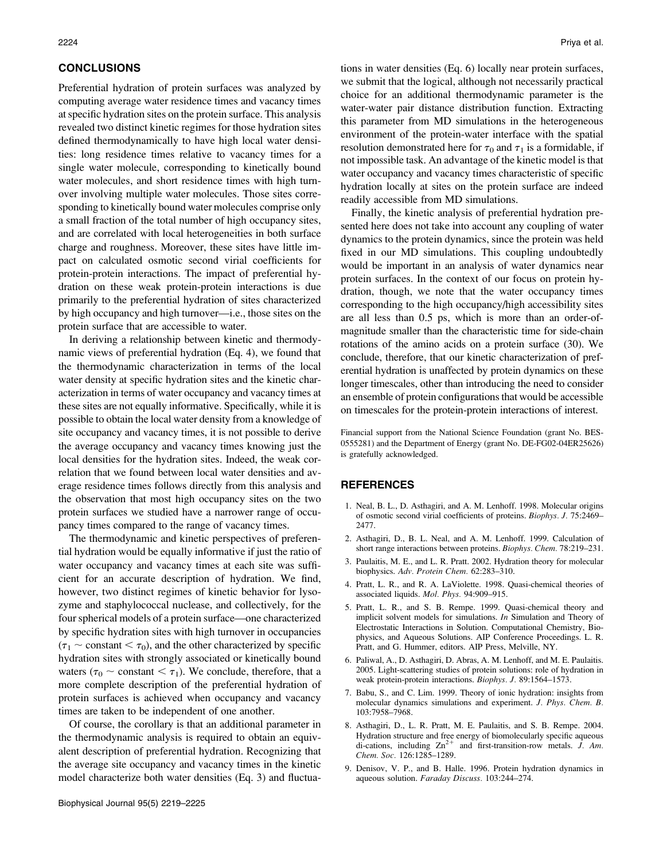#### CONCLUSIONS

Preferential hydration of protein surfaces was analyzed by computing average water residence times and vacancy times at specific hydration sites on the protein surface. This analysis revealed two distinct kinetic regimes for those hydration sites defined thermodynamically to have high local water densities: long residence times relative to vacancy times for a single water molecule, corresponding to kinetically bound water molecules, and short residence times with high turnover involving multiple water molecules. Those sites corresponding to kinetically bound water molecules comprise only a small fraction of the total number of high occupancy sites, and are correlated with local heterogeneities in both surface charge and roughness. Moreover, these sites have little impact on calculated osmotic second virial coefficients for protein-protein interactions. The impact of preferential hydration on these weak protein-protein interactions is due primarily to the preferential hydration of sites characterized by high occupancy and high turnover—i.e., those sites on the protein surface that are accessible to water.

In deriving a relationship between kinetic and thermodynamic views of preferential hydration (Eq. 4), we found that the thermodynamic characterization in terms of the local water density at specific hydration sites and the kinetic characterization in terms of water occupancy and vacancy times at these sites are not equally informative. Specifically, while it is possible to obtain the local water density from a knowledge of site occupancy and vacancy times, it is not possible to derive the average occupancy and vacancy times knowing just the local densities for the hydration sites. Indeed, the weak correlation that we found between local water densities and average residence times follows directly from this analysis and the observation that most high occupancy sites on the two protein surfaces we studied have a narrower range of occupancy times compared to the range of vacancy times.

The thermodynamic and kinetic perspectives of preferential hydration would be equally informative if just the ratio of water occupancy and vacancy times at each site was sufficient for an accurate description of hydration. We find, however, two distinct regimes of kinetic behavior for lysozyme and staphylococcal nuclease, and collectively, for the four spherical models of a protein surface—one characterized by specific hydration sites with high turnover in occupancies  $(\tau_1 \sim \text{constant} < \tau_0)$ , and the other characterized by specific hydration sites with strongly associated or kinetically bound waters ( $\tau_0$  ~ constant <  $\tau_1$ ). We conclude, therefore, that a more complete description of the preferential hydration of protein surfaces is achieved when occupancy and vacancy times are taken to be independent of one another.

Of course, the corollary is that an additional parameter in the thermodynamic analysis is required to obtain an equivalent description of preferential hydration. Recognizing that the average site occupancy and vacancy times in the kinetic model characterize both water densities (Eq. 3) and fluctuations in water densities (Eq. 6) locally near protein surfaces, we submit that the logical, although not necessarily practical choice for an additional thermodynamic parameter is the water-water pair distance distribution function. Extracting this parameter from MD simulations in the heterogeneous environment of the protein-water interface with the spatial resolution demonstrated here for  $\tau_0$  and  $\tau_1$  is a formidable, if not impossible task. An advantage of the kinetic model is that water occupancy and vacancy times characteristic of specific hydration locally at sites on the protein surface are indeed readily accessible from MD simulations.

Finally, the kinetic analysis of preferential hydration presented here does not take into account any coupling of water dynamics to the protein dynamics, since the protein was held fixed in our MD simulations. This coupling undoubtedly would be important in an analysis of water dynamics near protein surfaces. In the context of our focus on protein hydration, though, we note that the water occupancy times corresponding to the high occupancy/high accessibility sites are all less than 0.5 ps, which is more than an order-ofmagnitude smaller than the characteristic time for side-chain rotations of the amino acids on a protein surface (30). We conclude, therefore, that our kinetic characterization of preferential hydration is unaffected by protein dynamics on these longer timescales, other than introducing the need to consider an ensemble of protein configurations that would be accessible on timescales for the protein-protein interactions of interest.

Financial support from the National Science Foundation (grant No. BES-0555281) and the Department of Energy (grant No. DE-FG02-04ER25626) is gratefully acknowledged.

#### REFERENCES

- 1. Neal, B. L., D. Asthagiri, and A. M. Lenhoff. 1998. Molecular origins of osmotic second virial coefficients of proteins. Biophys. J. 75:2469– 2477.
- 2. Asthagiri, D., B. L. Neal, and A. M. Lenhoff. 1999. Calculation of short range interactions between proteins. Biophys. Chem. 78:219–231.
- 3. Paulaitis, M. E., and L. R. Pratt. 2002. Hydration theory for molecular biophysics. Adv. Protein Chem. 62:283–310.
- 4. Pratt, L. R., and R. A. LaViolette. 1998. Quasi-chemical theories of associated liquids. Mol. Phys. 94:909–915.
- 5. Pratt, L. R., and S. B. Rempe. 1999. Quasi-chemical theory and implicit solvent models for simulations. In Simulation and Theory of Electrostatic Interactions in Solution. Computational Chemistry, Biophysics, and Aqueous Solutions. AIP Conference Proceedings. L. R. Pratt, and G. Hummer, editors. AIP Press, Melville, NY.
- 6. Paliwal, A., D. Asthagiri, D. Abras, A. M. Lenhoff, and M. E. Paulaitis. 2005. Light-scattering studies of protein solutions: role of hydration in weak protein-protein interactions. Biophys. J. 89:1564–1573.
- 7. Babu, S., and C. Lim. 1999. Theory of ionic hydration: insights from molecular dynamics simulations and experiment. J. Phys. Chem. B. 103:7958–7968.
- 8. Asthagiri, D., L. R. Pratt, M. E. Paulaitis, and S. B. Rempe. 2004. Hydration structure and free energy of biomolecularly specific aqueous  $\frac{d}{dt}$ -cations, including  $\frac{d}{dt}$  and first-transition-row metals. J. Am. Chem. Soc. 126:1285–1289.
- 9. Denisov, V. P., and B. Halle. 1996. Protein hydration dynamics in aqueous solution. Faraday Discuss. 103:244–274.